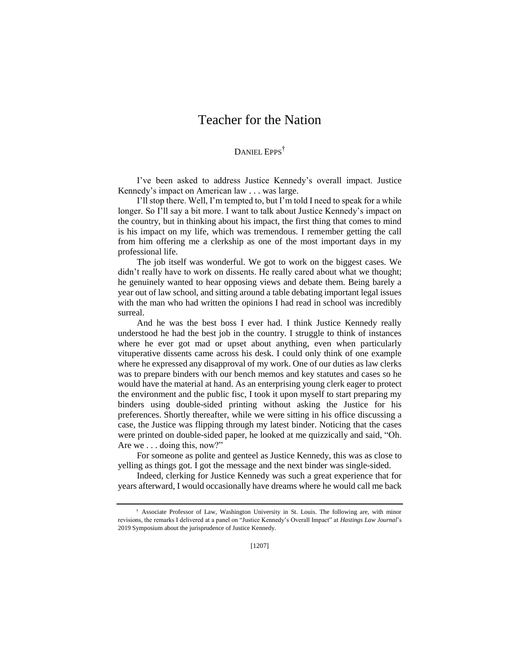## Teacher for the Nation

## DANIEL EPPS<sup>†</sup>

I've been asked to address Justice Kennedy's overall impact. Justice Kennedy's impact on American law . . . was large.

I'll stop there. Well, I'm tempted to, but I'm told I need to speak for a while longer. So I'll say a bit more. I want to talk about Justice Kennedy's impact on the country, but in thinking about his impact, the first thing that comes to mind is his impact on my life, which was tremendous. I remember getting the call from him offering me a clerkship as one of the most important days in my professional life.

The job itself was wonderful. We got to work on the biggest cases. We didn't really have to work on dissents. He really cared about what we thought; he genuinely wanted to hear opposing views and debate them. Being barely a year out of law school, and sitting around a table debating important legal issues with the man who had written the opinions I had read in school was incredibly surreal.

And he was the best boss I ever had. I think Justice Kennedy really understood he had the best job in the country. I struggle to think of instances where he ever got mad or upset about anything, even when particularly vituperative dissents came across his desk. I could only think of one example where he expressed any disapproval of my work. One of our duties as law clerks was to prepare binders with our bench memos and key statutes and cases so he would have the material at hand. As an enterprising young clerk eager to protect the environment and the public fisc, I took it upon myself to start preparing my binders using double-sided printing without asking the Justice for his preferences. Shortly thereafter, while we were sitting in his office discussing a case, the Justice was flipping through my latest binder. Noticing that the cases were printed on double-sided paper, he looked at me quizzically and said, "Oh. Are we . . . doing this, now?"

For someone as polite and genteel as Justice Kennedy, this was as close to yelling as things got. I got the message and the next binder was single-sided.

Indeed, clerking for Justice Kennedy was such a great experience that for years afterward, I would occasionally have dreams where he would call me back

<sup>†</sup> Associate Professor of Law, Washington University in St. Louis. The following are, with minor revisions, the remarks I delivered at a panel on "Justice Kennedy's Overall Impact" at *Hastings Law Journal*'s 2019 Symposium about the jurisprudence of Justice Kennedy.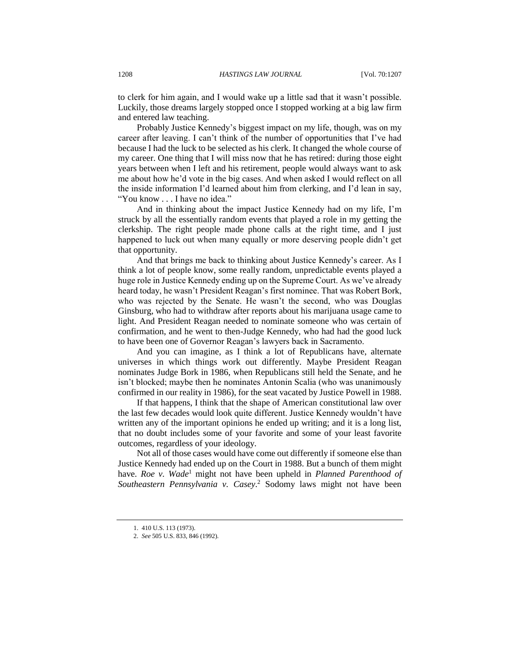to clerk for him again, and I would wake up a little sad that it wasn't possible. Luckily, those dreams largely stopped once I stopped working at a big law firm and entered law teaching.

Probably Justice Kennedy's biggest impact on my life, though, was on my career after leaving. I can't think of the number of opportunities that I've had because I had the luck to be selected as his clerk. It changed the whole course of my career. One thing that I will miss now that he has retired: during those eight years between when I left and his retirement, people would always want to ask me about how he'd vote in the big cases. And when asked I would reflect on all the inside information I'd learned about him from clerking, and I'd lean in say, "You know . . . I have no idea."

And in thinking about the impact Justice Kennedy had on my life, I'm struck by all the essentially random events that played a role in my getting the clerkship. The right people made phone calls at the right time, and I just happened to luck out when many equally or more deserving people didn't get that opportunity.

And that brings me back to thinking about Justice Kennedy's career. As I think a lot of people know, some really random, unpredictable events played a huge role in Justice Kennedy ending up on the Supreme Court. As we've already heard today, he wasn't President Reagan's first nominee. That was Robert Bork, who was rejected by the Senate. He wasn't the second, who was Douglas Ginsburg, who had to withdraw after reports about his marijuana usage came to light. And President Reagan needed to nominate someone who was certain of confirmation, and he went to then-Judge Kennedy, who had had the good luck to have been one of Governor Reagan's lawyers back in Sacramento.

And you can imagine, as I think a lot of Republicans have, alternate universes in which things work out differently. Maybe President Reagan nominates Judge Bork in 1986, when Republicans still held the Senate, and he isn't blocked; maybe then he nominates Antonin Scalia (who was unanimously confirmed in our reality in 1986), for the seat vacated by Justice Powell in 1988.

If that happens, I think that the shape of American constitutional law over the last few decades would look quite different. Justice Kennedy wouldn't have written any of the important opinions he ended up writing; and it is a long list, that no doubt includes some of your favorite and some of your least favorite outcomes, regardless of your ideology.

Not all of those cases would have come out differently if someone else than Justice Kennedy had ended up on the Court in 1988. But a bunch of them might have. *Roe v. Wade*<sup>1</sup> might not have been upheld in *Planned Parenthood of Southeastern Pennsylvania v. Casey*. <sup>2</sup> Sodomy laws might not have been

<sup>1.</sup> 410 U.S. 113 (1973).

<sup>2.</sup> *See* 505 U.S. 833, 846 (1992).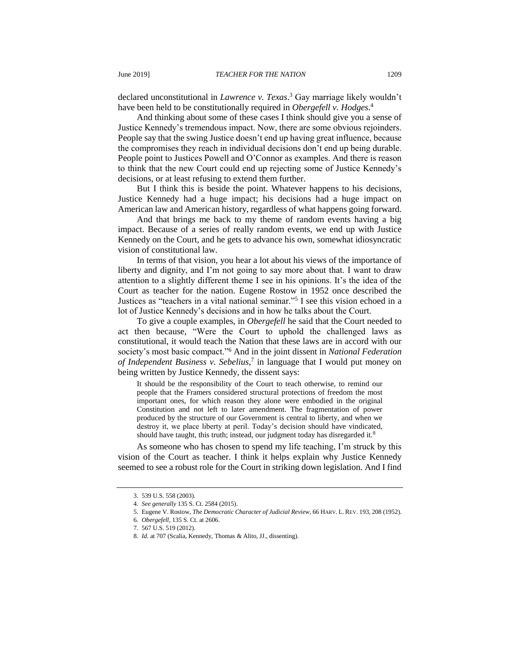declared unconstitutional in *Lawrence v. Texas*. <sup>3</sup> Gay marriage likely wouldn't have been held to be constitutionally required in *Obergefell v. Hodges*. 4

And thinking about some of these cases I think should give you a sense of Justice Kennedy's tremendous impact. Now, there are some obvious rejoinders. People say that the swing Justice doesn't end up having great influence, because the compromises they reach in individual decisions don't end up being durable. People point to Justices Powell and O'Connor as examples. And there is reason to think that the new Court could end up rejecting some of Justice Kennedy's decisions, or at least refusing to extend them further.

But I think this is beside the point. Whatever happens to his decisions, Justice Kennedy had a huge impact; his decisions had a huge impact on American law and American history, regardless of what happens going forward.

And that brings me back to my theme of random events having a big impact. Because of a series of really random events, we end up with Justice Kennedy on the Court, and he gets to advance his own, somewhat idiosyncratic vision of constitutional law.

In terms of that vision, you hear a lot about his views of the importance of liberty and dignity, and I'm not going to say more about that. I want to draw attention to a slightly different theme I see in his opinions. It's the idea of the Court as teacher for the nation. Eugene Rostow in 1952 once described the Justices as "teachers in a vital national seminar."<sup>5</sup> I see this vision echoed in a lot of Justice Kennedy's decisions and in how he talks about the Court.

To give a couple examples, in *Obergefell* he said that the Court needed to act then because, "Were the Court to uphold the challenged laws as constitutional, it would teach the Nation that these laws are in accord with our society's most basic compact."<sup>6</sup> And in the joint dissent in *National Federation of Independent Business v. Sebelius*, 7 in language that I would put money on being written by Justice Kennedy, the dissent says:

It should be the responsibility of the Court to teach otherwise, to remind our people that the Framers considered structural protections of freedom the most important ones, for which reason they alone were embodied in the original Constitution and not left to later amendment. The fragmentation of power produced by the structure of our Government is central to liberty, and when we destroy it, we place liberty at peril. Today's decision should have vindicated, should have taught, this truth; instead, our judgment today has disregarded it.<sup>8</sup>

As someone who has chosen to spend my life teaching, I'm struck by this vision of the Court as teacher. I think it helps explain why Justice Kennedy seemed to see a robust role for the Court in striking down legislation. And I find

<sup>3.</sup> 539 U.S. 558 (2003).

<sup>4.</sup> *See generally* 135 S. Ct. 2584 (2015).

<sup>5.</sup> Eugene V. Rostow, *The Democratic Character of Judicial Review*, 66 HARV. L. REV. 193, 208 (1952).

<sup>6</sup>*. Obergefell*, 135 S. Ct. at 2606.

<sup>7.</sup> 567 U.S. 519 (2012).

<sup>8</sup>*. Id.* at 707 (Scalia, Kennedy, Thomas & Alito, JJ., dissenting).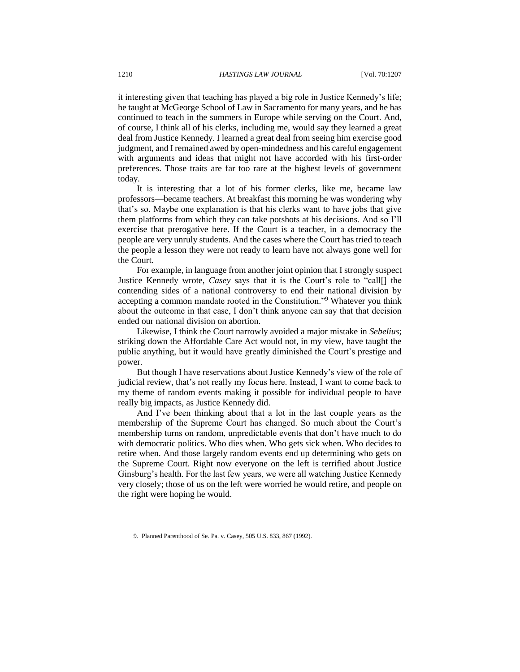it interesting given that teaching has played a big role in Justice Kennedy's life; he taught at McGeorge School of Law in Sacramento for many years, and he has continued to teach in the summers in Europe while serving on the Court. And, of course, I think all of his clerks, including me, would say they learned a great deal from Justice Kennedy. I learned a great deal from seeing him exercise good judgment, and I remained awed by open-mindedness and his careful engagement with arguments and ideas that might not have accorded with his first-order preferences. Those traits are far too rare at the highest levels of government today.

It is interesting that a lot of his former clerks, like me, became law professors—became teachers. At breakfast this morning he was wondering why that's so. Maybe one explanation is that his clerks want to have jobs that give them platforms from which they can take potshots at his decisions. And so I'll exercise that prerogative here. If the Court is a teacher, in a democracy the people are very unruly students. And the cases where the Court has tried to teach the people a lesson they were not ready to learn have not always gone well for the Court.

For example, in language from another joint opinion that I strongly suspect Justice Kennedy wrote, *Casey* says that it is the Court's role to "call[] the contending sides of a national controversy to end their national division by accepting a common mandate rooted in the Constitution."<sup>9</sup> Whatever you think about the outcome in that case, I don't think anyone can say that that decision ended our national division on abortion.

Likewise, I think the Court narrowly avoided a major mistake in *Sebelius*; striking down the Affordable Care Act would not, in my view, have taught the public anything, but it would have greatly diminished the Court's prestige and power.

But though I have reservations about Justice Kennedy's view of the role of judicial review, that's not really my focus here. Instead, I want to come back to my theme of random events making it possible for individual people to have really big impacts, as Justice Kennedy did.

And I've been thinking about that a lot in the last couple years as the membership of the Supreme Court has changed. So much about the Court's membership turns on random, unpredictable events that don't have much to do with democratic politics. Who dies when. Who gets sick when. Who decides to retire when. And those largely random events end up determining who gets on the Supreme Court. Right now everyone on the left is terrified about Justice Ginsburg's health. For the last few years, we were all watching Justice Kennedy very closely; those of us on the left were worried he would retire, and people on the right were hoping he would.

<sup>9</sup>*.* Planned Parenthood of Se. Pa. v. Casey, 505 U.S. 833, 867 (1992).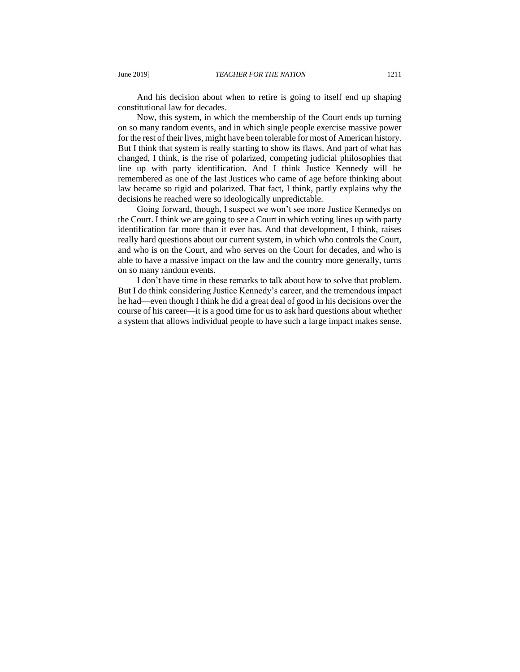And his decision about when to retire is going to itself end up shaping constitutional law for decades.

Now, this system, in which the membership of the Court ends up turning on so many random events, and in which single people exercise massive power for the rest of their lives, might have been tolerable for most of American history. But I think that system is really starting to show its flaws. And part of what has changed, I think, is the rise of polarized, competing judicial philosophies that line up with party identification. And I think Justice Kennedy will be remembered as one of the last Justices who came of age before thinking about law became so rigid and polarized. That fact, I think, partly explains why the decisions he reached were so ideologically unpredictable.

Going forward, though, I suspect we won't see more Justice Kennedys on the Court. I think we are going to see a Court in which voting lines up with party identification far more than it ever has. And that development, I think, raises really hard questions about our current system, in which who controls the Court, and who is on the Court, and who serves on the Court for decades, and who is able to have a massive impact on the law and the country more generally, turns on so many random events.

I don't have time in these remarks to talk about how to solve that problem. But I do think considering Justice Kennedy's career, and the tremendous impact he had—even though I think he did a great deal of good in his decisions over the course of his career—it is a good time for us to ask hard questions about whether a system that allows individual people to have such a large impact makes sense.